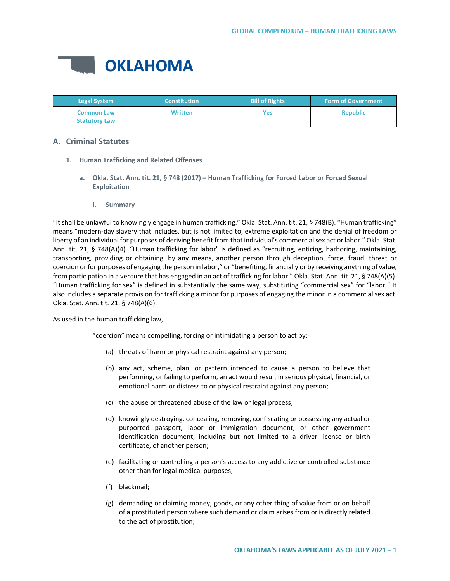

| <b>Legal System</b>                       | <b>Constitution</b> | <b>Bill of Rights</b> | <b>Form of Government</b> |
|-------------------------------------------|---------------------|-----------------------|---------------------------|
| <b>Common Law</b><br><b>Statutory Law</b> | <b>Written</b>      | Yes                   | <b>Republic</b>           |

# **A. Criminal Statutes**

- **1. Human Trafficking and Related Offenses**
	- **a. Okla. Stat. Ann. tit. 21, § 748 (2017) – Human Trafficking for Forced Labor or Forced Sexual Exploitation**
		- **i. Summary**

"It shall be unlawful to knowingly engage in human trafficking." Okla. Stat. Ann. tit. 21, § 748(B). "Human trafficking" means "modern-day slavery that includes, but is not limited to, extreme exploitation and the denial of freedom or liberty of an individual for purposes of deriving benefit from that individual's commercial sex act or labor." Okla. Stat. Ann. tit. 21, § 748(A)(4). "Human trafficking for labor" is defined as "recruiting, enticing, harboring, maintaining, transporting, providing or obtaining, by any means, another person through deception, force, fraud, threat or coercion or for purposes of engaging the person in labor," or "benefiting, financially or by receiving anything of value, from participation in a venture that has engaged in an act of trafficking for labor." Okla. Stat. Ann. tit. 21, § 748(A)(5). "Human trafficking for sex" is defined in substantially the same way, substituting "commercial sex" for "labor." It also includes a separate provision for trafficking a minor for purposes of engaging the minor in a commercial sex act. Okla. Stat. Ann. tit. 21, § 748(A)(6).

As used in the human trafficking law,

"coercion" means compelling, forcing or intimidating a person to act by:

- (a) threats of harm or physical restraint against any person;
- (b) any act, scheme, plan, or pattern intended to cause a person to believe that performing, or failing to perform, an act would result in serious physical, financial, or emotional harm or distress to or physical restraint against any person;
- (c) the abuse or threatened abuse of the law or legal process;
- (d) knowingly destroying, concealing, removing, confiscating or possessing any actual or purported passport, labor or immigration document, or other government identification document, including but not limited to a driver license or birth certificate, of another person;
- (e) facilitating or controlling a person's access to any addictive or controlled substance other than for legal medical purposes;
- (f) blackmail;
- (g) demanding or claiming money, goods, or any other thing of value from or on behalf of a prostituted person where such demand or claim arises from or is directly related to the act of prostitution;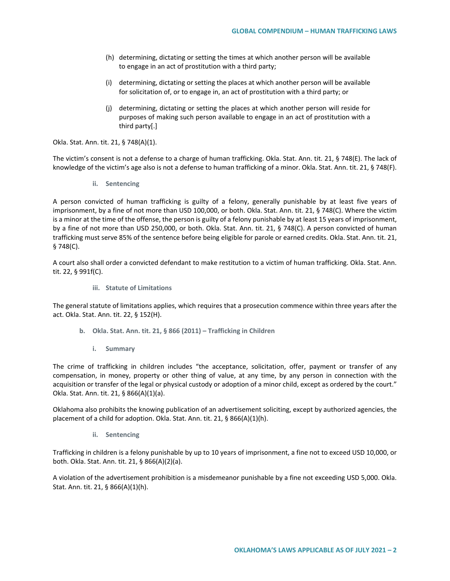- (h) determining, dictating or setting the times at which another person will be available to engage in an act of prostitution with a third party;
- (i) determining, dictating or setting the places at which another person will be available for solicitation of, or to engage in, an act of prostitution with a third party; or
- (j) determining, dictating or setting the places at which another person will reside for purposes of making such person available to engage in an act of prostitution with a third party[.]

Okla. Stat. Ann. tit. 21, § 748(A)(1).

The victim's consent is not a defense to a charge of human trafficking. Okla. Stat. Ann. tit. 21, § 748(E). The lack of knowledge of the victim's age also is not a defense to human trafficking of a minor. Okla. Stat. Ann. tit. 21, § 748(F).

**ii. Sentencing**

A person convicted of human trafficking is guilty of a felony, generally punishable by at least five years of imprisonment, by a fine of not more than USD 100,000, or both. Okla. Stat. Ann. tit. 21, § 748(C). Where the victim is a minor at the time of the offense, the person is guilty of a felony punishable by at least 15 years of imprisonment, by a fine of not more than USD 250,000, or both. Okla. Stat. Ann. tit. 21, § 748(C). A person convicted of human trafficking must serve 85% of the sentence before being eligible for parole or earned credits. Okla. Stat. Ann. tit. 21, § 748(C).

A court also shall order a convicted defendant to make restitution to a victim of human trafficking. Okla. Stat. Ann. tit. 22, § 991f(C).

**iii. Statute of Limitations**

The general statute of limitations applies, which requires that a prosecution commence within three years after the act. Okla. Stat. Ann. tit. 22, § 152(H).

- **b. Okla. Stat. Ann. tit. 21, § 866 (2011) – Trafficking in Children**
	- **i. Summary**

The crime of trafficking in children includes "the acceptance, solicitation, offer, payment or transfer of any compensation, in money, property or other thing of value, at any time, by any person in connection with the acquisition or transfer of the legal or physical custody or adoption of a minor child, except as ordered by the court." Okla. Stat. Ann. tit. 21, § 866(A)(1)(a).

Oklahoma also prohibits the knowing publication of an advertisement soliciting, except by authorized agencies, the placement of a child for adoption. Okla. Stat. Ann. tit. 21, § 866(A)(1)(h).

**ii. Sentencing**

Trafficking in children is a felony punishable by up to 10 years of imprisonment, a fine not to exceed USD 10,000, or both. Okla. Stat. Ann. tit. 21, § 866(A)(2)(a).

A violation of the advertisement prohibition is a misdemeanor punishable by a fine not exceeding USD 5,000. Okla. Stat. Ann. tit. 21, § 866(A)(1)(h).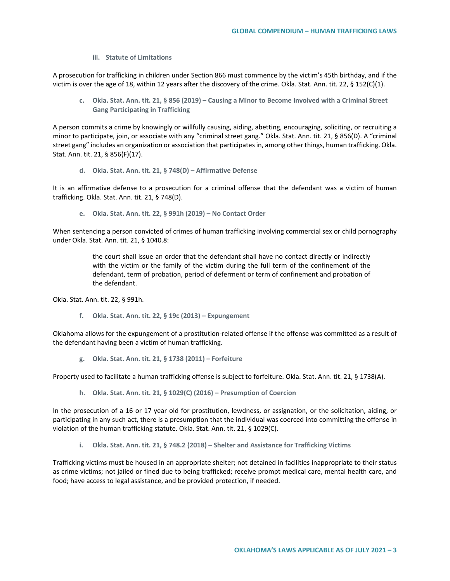**iii. Statute of Limitations**

A prosecution for trafficking in children under Section 866 must commence by the victim's 45th birthday, and if the victim is over the age of 18, within 12 years after the discovery of the crime. Okla. Stat. Ann. tit. 22, § 152(C)(1).

**c. Okla. Stat. Ann. tit. 21, § 856 (2019) – Causing a Minor to Become Involved with a Criminal Street Gang Participating in Trafficking**

A person commits a crime by knowingly or willfully causing, aiding, abetting, encouraging, soliciting, or recruiting a minor to participate, join, or associate with any "criminal street gang." Okla. Stat. Ann. tit. 21, § 856(D). A "criminal street gang" includes an organization or association that participates in, among other things, human trafficking. Okla. Stat. Ann. tit. 21, § 856(F)(17).

**d. Okla. Stat. Ann. tit. 21, § 748(D) – Affirmative Defense**

It is an affirmative defense to a prosecution for a criminal offense that the defendant was a victim of human trafficking. Okla. Stat. Ann. tit. 21, § 748(D).

**e. Okla. Stat. Ann. tit. 22, § 991h (2019) – No Contact Order**

When sentencing a person convicted of crimes of human trafficking involving commercial sex or child pornography under Okla. Stat. Ann. tit. 21, § 1040.8:

> the court shall issue an order that the defendant shall have no contact directly or indirectly with the victim or the family of the victim during the full term of the confinement of the defendant, term of probation, period of deferment or term of confinement and probation of the defendant.

Okla. Stat. Ann. tit. 22, § 991h.

**f. Okla. Stat. Ann. tit. 22, § 19c (2013) – Expungement**

Oklahoma allows for the expungement of a prostitution-related offense if the offense was committed as a result of the defendant having been a victim of human trafficking.

**g. Okla. Stat. Ann. tit. 21, § 1738 (2011) – Forfeiture** 

Property used to facilitate a human trafficking offense is subject to forfeiture. Okla. Stat. Ann. tit. 21, § 1738(A).

**h. Okla. Stat. Ann. tit. 21, § 1029(C) (2016) – Presumption of Coercion**

In the prosecution of a 16 or 17 year old for prostitution, lewdness, or assignation, or the solicitation, aiding, or participating in any such act, there is a presumption that the individual was coerced into committing the offense in violation of the human trafficking statute. Okla. Stat. Ann. tit. 21, § 1029(C).

**i. Okla. Stat. Ann. tit. 21, § 748.2 (2018) – Shelter and Assistance for Trafficking Victims**

Trafficking victims must be housed in an appropriate shelter; not detained in facilities inappropriate to their status as crime victims; not jailed or fined due to being trafficked; receive prompt medical care, mental health care, and food; have access to legal assistance, and be provided protection, if needed.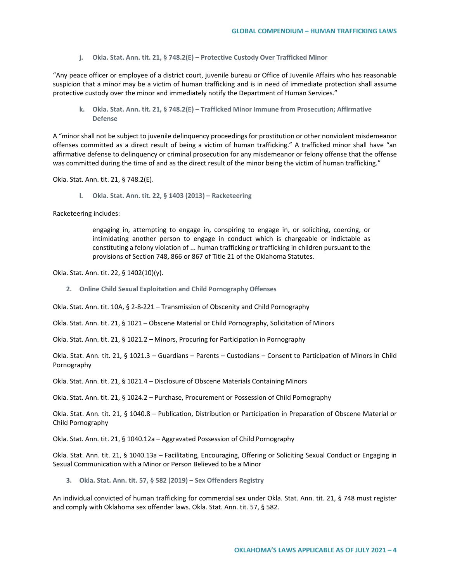**j. Okla. Stat. Ann. tit. 21, § 748.2(E) – Protective Custody Over Trafficked Minor**

"Any peace officer or employee of a district court, juvenile bureau or Office of Juvenile Affairs who has reasonable suspicion that a minor may be a victim of human trafficking and is in need of immediate protection shall assume protective custody over the minor and immediately notify the Department of Human Services."

**k. Okla. Stat. Ann. tit. 21, § 748.2(E) – Trafficked Minor Immune from Prosecution; Affirmative Defense**

A "minor shall not be subject to juvenile delinquency proceedings for prostitution or other nonviolent misdemeanor offenses committed as a direct result of being a victim of human trafficking." A trafficked minor shall have "an affirmative defense to delinquency or criminal prosecution for any misdemeanor or felony offense that the offense was committed during the time of and as the direct result of the minor being the victim of human trafficking."

Okla. Stat. Ann. tit. 21, § 748.2(E).

**l. Okla. Stat. Ann. tit. 22, § 1403 (2013) – Racketeering** 

Racketeering includes:

engaging in, attempting to engage in, conspiring to engage in, or soliciting, coercing, or intimidating another person to engage in conduct which is chargeable or indictable as constituting a felony violation of ... human trafficking or trafficking in children pursuant to the provisions of Section 748, 866 or 867 of Title 21 of the Oklahoma Statutes.

Okla. Stat. Ann. tit. 22, § 1402(10)(y).

**2. Online Child Sexual Exploitation and Child Pornography Offenses**

Okla. Stat. Ann. tit. 10A, § 2-8-221 – Transmission of Obscenity and Child Pornography

Okla. Stat. Ann. tit. 21, § 1021 – Obscene Material or Child Pornography, Solicitation of Minors

Okla. Stat. Ann. tit. 21, § 1021.2 – Minors, Procuring for Participation in Pornography

Okla. Stat. Ann. tit. 21, § 1021.3 – Guardians – Parents – Custodians – Consent to Participation of Minors in Child Pornography

Okla. Stat. Ann. tit. 21, § 1021.4 – Disclosure of Obscene Materials Containing Minors

Okla. Stat. Ann. tit. 21, § 1024.2 – Purchase, Procurement or Possession of Child Pornography

Okla. Stat. Ann. tit. 21, § 1040.8 – Publication, Distribution or Participation in Preparation of Obscene Material or Child Pornography

Okla. Stat. Ann. tit. 21, § 1040.12a – Aggravated Possession of Child Pornography

Okla. Stat. Ann. tit. 21, § 1040.13a – Facilitating, Encouraging, Offering or Soliciting Sexual Conduct or Engaging in Sexual Communication with a Minor or Person Believed to be a Minor

**3. Okla. Stat. Ann. tit. 57, § 582 (2019) – Sex Offenders Registry**

An individual convicted of human trafficking for commercial sex under Okla. Stat. Ann. tit. 21, § 748 must register and comply with Oklahoma sex offender laws. Okla. Stat. Ann. tit. 57, § 582.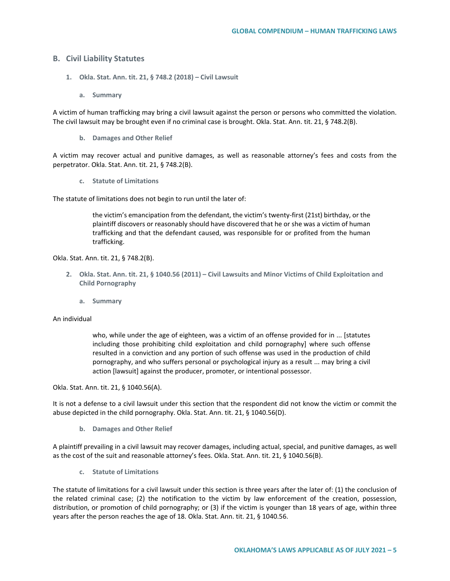## **B. Civil Liability Statutes**

- **1. Okla. Stat. Ann. tit. 21, § 748.2 (2018) – Civil Lawsuit** 
	- **a. Summary**

A victim of human trafficking may bring a civil lawsuit against the person or persons who committed the violation. The civil lawsuit may be brought even if no criminal case is brought. Okla. Stat. Ann. tit. 21, § 748.2(B).

**b. Damages and Other Relief**

A victim may recover actual and punitive damages, as well as reasonable attorney's fees and costs from the perpetrator. Okla. Stat. Ann. tit. 21, § 748.2(B).

**c. Statute of Limitations**

The statute of limitations does not begin to run until the later of:

the victim's emancipation from the defendant, the victim's twenty-first (21st) birthday, or the plaintiff discovers or reasonably should have discovered that he or she was a victim of human trafficking and that the defendant caused, was responsible for or profited from the human trafficking.

Okla. Stat. Ann. tit. 21, § 748.2(B).

- **2. Okla. Stat. Ann. tit. 21, § 1040.56 (2011) – Civil Lawsuits and Minor Victims of Child Exploitation and Child Pornography**
	- **a. Summary**

## An individual

who, while under the age of eighteen, was a victim of an offense provided for in ... [statutes including those prohibiting child exploitation and child pornography] where such offense resulted in a conviction and any portion of such offense was used in the production of child pornography, and who suffers personal or psychological injury as a result ... may bring a civil action [lawsuit] against the producer, promoter, or intentional possessor.

Okla. Stat. Ann. tit. 21, § 1040.56(A).

It is not a defense to a civil lawsuit under this section that the respondent did not know the victim or commit the abuse depicted in the child pornography. Okla. Stat. Ann. tit. 21, § 1040.56(D).

**b. Damages and Other Relief**

A plaintiff prevailing in a civil lawsuit may recover damages, including actual, special, and punitive damages, as well as the cost of the suit and reasonable attorney's fees. Okla. Stat. Ann. tit. 21, § 1040.56(B).

**c. Statute of Limitations**

The statute of limitations for a civil lawsuit under this section is three years after the later of: (1) the conclusion of the related criminal case; (2) the notification to the victim by law enforcement of the creation, possession, distribution, or promotion of child pornography; or (3) if the victim is younger than 18 years of age, within three years after the person reaches the age of 18. Okla. Stat. Ann. tit. 21, § 1040.56.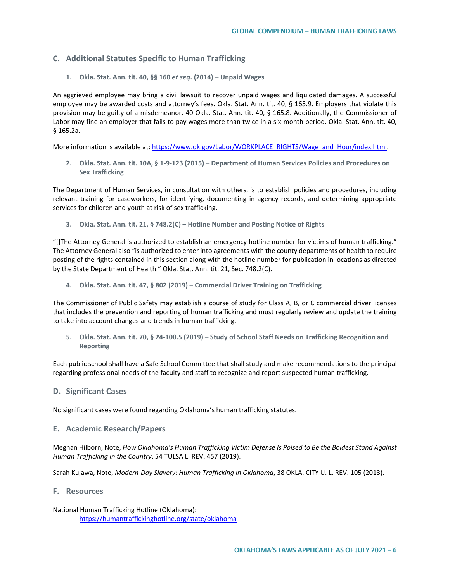# **C. Additional Statutes Specific to Human Trafficking**

**1. Okla. Stat. Ann. tit. 40, §§ 160** *et seq***. (2014) – Unpaid Wages**

An aggrieved employee may bring a civil lawsuit to recover unpaid wages and liquidated damages. A successful employee may be awarded costs and attorney's fees. Okla. Stat. Ann. tit. 40, § 165.9. Employers that violate this provision may be guilty of a misdemeanor. 40 Okla. Stat. Ann. tit. 40, § 165.8. Additionally, the Commissioner of Labor may fine an employer that fails to pay wages more than twice in a six-month period. Okla. Stat. Ann. tit. 40, § 165.2a.

More information is available at: [https://www.ok.gov/Labor/WORKPLACE\\_RIGHTS/Wage\\_and\\_Hour/index.html.](https://www.ok.gov/Labor/WORKPLACE_RIGHTS/Wage_and_Hour/index.html)

**2. Okla. Stat. Ann. tit. 10A, § 1-9-123 (2015) – Department of Human Services Policies and Procedures on Sex Trafficking**

The Department of Human Services, in consultation with others, is to establish policies and procedures, including relevant training for caseworkers, for identifying, documenting in agency records, and determining appropriate services for children and youth at risk of sex trafficking.

**3. Okla. Stat. Ann. tit. 21, § 748.2(C) – Hotline Number and Posting Notice of Rights**

"[]The Attorney General is authorized to establish an emergency hotline number for victims of human trafficking." The Attorney General also "is authorized to enter into agreements with the county departments of health to require posting of the rights contained in this section along with the hotline number for publication in locations as directed by the State Department of Health." Okla. Stat. Ann. tit. 21, Sec. 748.2(C).

**4. Okla. Stat. Ann. tit. 47, § 802 (2019) – Commercial Driver Training on Trafficking**

The Commissioner of Public Safety may establish a course of study for Class A, B, or C commercial driver licenses that includes the prevention and reporting of human trafficking and must regularly review and update the training to take into account changes and trends in human trafficking.

**5. Okla. Stat. Ann. tit. 70, § 24-100.5 (2019) – Study of School Staff Needs on Trafficking Recognition and Reporting**

Each public school shall have a Safe School Committee that shall study and make recommendations to the principal regarding professional needs of the faculty and staff to recognize and report suspected human trafficking.

## **D. Significant Cases**

No significant cases were found regarding Oklahoma's human trafficking statutes.

## **E. Academic Research/Papers**

Meghan Hilborn, Note, *How Oklahoma's Human Trafficking Victim Defense Is Poised to Be the Boldest Stand Against Human Trafficking in the Country*, 54 TULSA L. REV. 457 (2019).

Sarah Kujawa, Note, *Modern-Day Slavery: Human Trafficking in Oklahoma*, 38 OKLA. CITY U. L. REV. 105 (2013).

#### **F. Resources**

National Human Trafficking Hotline (Oklahoma): <https://humantraffickinghotline.org/state/oklahoma>